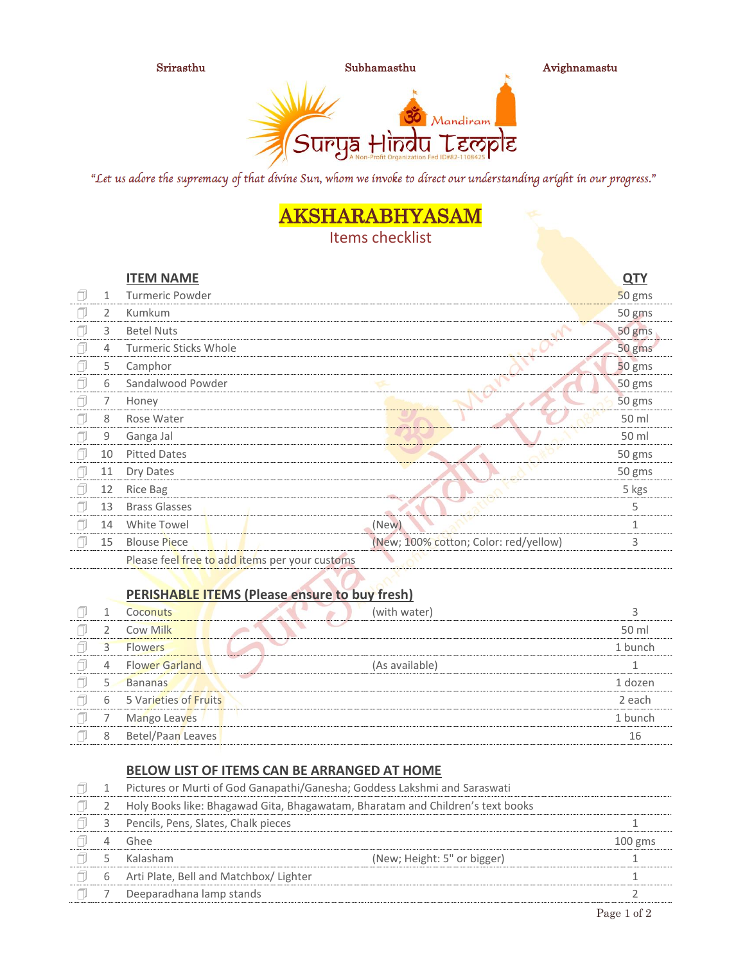

Srirasthu Subhamasthu Avighnamastu



"Let us adore the supremacy of that divine Sun, whom we invoke to direct our understanding aright in our progress."

## AKSHARABHYASAM

Items checklist

|   |    | <b>ITEM NAME</b>                               |                                       | <u>QTY</u> |
|---|----|------------------------------------------------|---------------------------------------|------------|
| f | 1  | Turmeric Powder                                |                                       | 50 gms     |
| a | 2  | Kumkum                                         |                                       | 50 gms     |
| f | 3  | <b>Betel Nuts</b>                              |                                       | 50 gms     |
| f | 4  | <b>Turmeric Sticks Whole</b>                   |                                       | 50 gms     |
| f | 5  | Camphor                                        |                                       | 50 gms     |
| ı | 6  | Sandalwood Powder                              |                                       | 50 gms     |
| ٦ | 7  | Honey                                          |                                       | 50 gms     |
| ╗ | 8  | Rose Water                                     |                                       | 50 ml      |
| f | 9  | Ganga Jal                                      |                                       | 50 ml      |
| f | 10 | <b>Pitted Dates</b>                            |                                       | 50 gms     |
| A | 11 | Dry Dates                                      |                                       | 50 gms     |
| f | 12 | Rice Bag                                       |                                       | 5 kgs      |
| ٦ | 13 | <b>Brass Glasses</b>                           |                                       | 5          |
| Ą | 14 | White Towel                                    | (New)                                 | 1          |
| A | 15 | <b>Blouse Piece</b>                            | (New; 100% cotton; Color: red/yellow) | 3          |
|   |    | Please feel free to add items per your customs |                                       |            |

## **PERISHABLE ITEMS (Please ensure to buy fresh)**

|   | (with water)<br>Coconuts                |         |
|---|-----------------------------------------|---------|
|   | Cow Milk                                | 50 ml   |
|   | <b>Flowers</b>                          | 1 bunch |
| 4 | <b>Flower Garland</b><br>(As available) |         |
|   | <b>Bananas</b>                          | 1 dozen |
| 6 | 5 Varieties of Fruits                   | 2 each  |
|   | Mango Leaves                            | 1 bunch |
| 8 | Betel/Paan Leaves                       | 16      |

## **BELOW LIST OF ITEMS CAN BE ARRANGED AT HOME**

|   | Pictures or Murti of God Ganapathi/Ganesha; Goddess Lakshmi and Saraswati      |                             |           |
|---|--------------------------------------------------------------------------------|-----------------------------|-----------|
|   | Holy Books like: Bhagawad Gita, Bhagawatam, Bharatam and Children's text books |                             |           |
|   | Pencils, Pens, Slates, Chalk pieces                                            |                             |           |
|   | Ghee                                                                           |                             | $100$ gms |
|   | Kalasham                                                                       | (New; Height: 5" or bigger) |           |
| 6 | Arti Plate, Bell and Matchbox/ Lighter                                         |                             |           |
|   | Deeparadhana lamp stands                                                       |                             |           |
|   |                                                                                |                             |           |